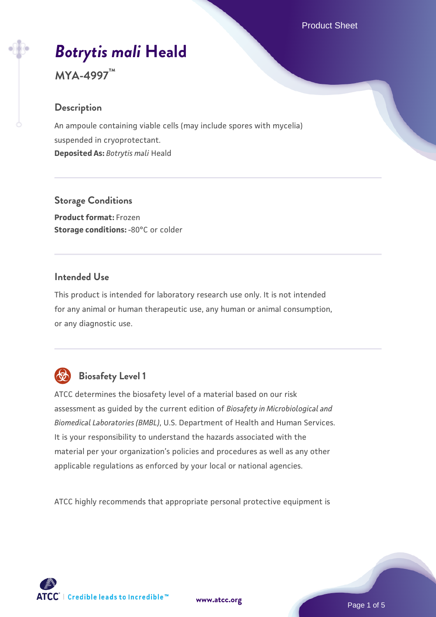# *[Botrytis mali](https://www.atcc.org/products/mya-4997)* **[Heald](https://www.atcc.org/products/mya-4997)**

**MYA-4997™**

### **Description**

An ampoule containing viable cells (may include spores with mycelia) suspended in cryoprotectant. **Deposited As:** *Botrytis mali* Heald

### **Storage Conditions**

**Product format:** Frozen **Storage conditions: -80°C** or colder

### **Intended Use**

This product is intended for laboratory research use only. It is not intended for any animal or human therapeutic use, any human or animal consumption, or any diagnostic use.



### **Biosafety Level 1**

ATCC determines the biosafety level of a material based on our risk assessment as guided by the current edition of *Biosafety in Microbiological and Biomedical Laboratories (BMBL)*, U.S. Department of Health and Human Services. It is your responsibility to understand the hazards associated with the material per your organization's policies and procedures as well as any other applicable regulations as enforced by your local or national agencies.

ATCC highly recommends that appropriate personal protective equipment is

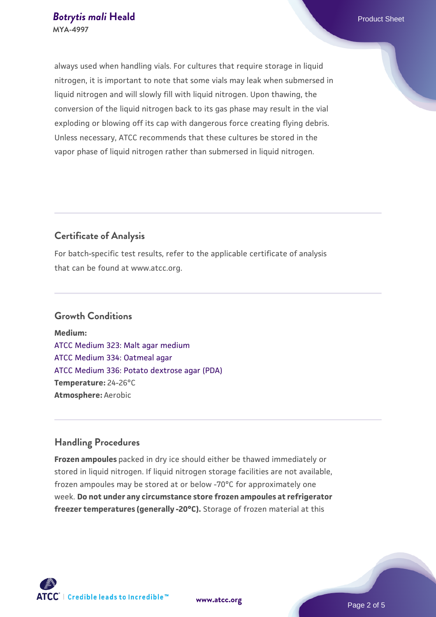always used when handling vials. For cultures that require storage in liquid nitrogen, it is important to note that some vials may leak when submersed in liquid nitrogen and will slowly fill with liquid nitrogen. Upon thawing, the conversion of the liquid nitrogen back to its gas phase may result in the vial exploding or blowing off its cap with dangerous force creating flying debris. Unless necessary, ATCC recommends that these cultures be stored in the vapor phase of liquid nitrogen rather than submersed in liquid nitrogen.

### **Certificate of Analysis**

For batch-specific test results, refer to the applicable certificate of analysis that can be found at www.atcc.org.

#### **Growth Conditions**

**Medium:**  [ATCC Medium 323: Malt agar medium](https://www.atcc.org/-/media/product-assets/documents/microbial-media-formulations/3/2/3/atcc-medium-323.pdf?rev=58d6457ee20149d7a1c844947569ef92) [ATCC Medium 334: Oatmeal agar](https://www.atcc.org/-/media/product-assets/documents/microbial-media-formulations/3/3/4/atcc-medium-334.pdf?rev=e382a75a48794764902dd7457c97fc29) [ATCC Medium 336: Potato dextrose agar \(PDA\)](https://www.atcc.org/-/media/product-assets/documents/microbial-media-formulations/3/3/6/atcc-medium-336.pdf?rev=d9160ad44d934cd8b65175461abbf3b9) **Temperature:** 24-26°C **Atmosphere:** Aerobic

### **Handling Procedures**

**Frozen ampoules** packed in dry ice should either be thawed immediately or stored in liquid nitrogen. If liquid nitrogen storage facilities are not available, frozen ampoules may be stored at or below -70°C for approximately one week. **Do not under any circumstance store frozen ampoules at refrigerator freezer temperatures (generally -20°C).** Storage of frozen material at this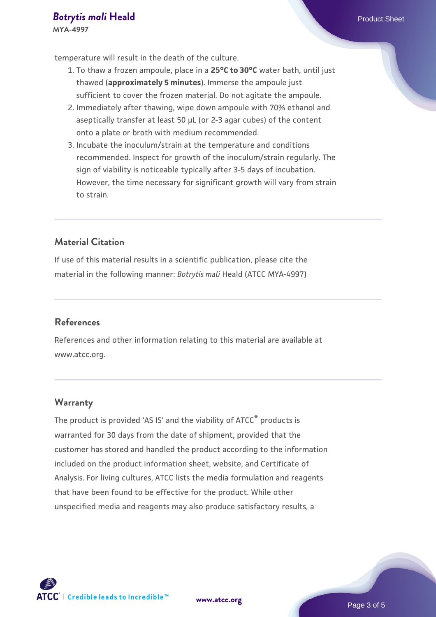## **[Botrytis mali](https://www.atcc.org/products/mya-4997) [Heald](https://www.atcc.org/products/mya-4997)** Product Sheet

**MYA-4997**

temperature will result in the death of the culture.

- 1. To thaw a frozen ampoule, place in a **25°C to 30°C** water bath, until just thawed (**approximately 5 minutes**). Immerse the ampoule just sufficient to cover the frozen material. Do not agitate the ampoule.
- 2. Immediately after thawing, wipe down ampoule with 70% ethanol and aseptically transfer at least 50 µL (or 2-3 agar cubes) of the content onto a plate or broth with medium recommended.
- 3. Incubate the inoculum/strain at the temperature and conditions recommended. Inspect for growth of the inoculum/strain regularly. The sign of viability is noticeable typically after 3-5 days of incubation. However, the time necessary for significant growth will vary from strain to strain.

### **Material Citation**

If use of this material results in a scientific publication, please cite the material in the following manner: *Botrytis mali* Heald (ATCC MYA-4997)

### **References**

References and other information relating to this material are available at www.atcc.org.

### **Warranty**

The product is provided 'AS IS' and the viability of ATCC® products is warranted for 30 days from the date of shipment, provided that the customer has stored and handled the product according to the information included on the product information sheet, website, and Certificate of Analysis. For living cultures, ATCC lists the media formulation and reagents that have been found to be effective for the product. While other unspecified media and reagents may also produce satisfactory results, a

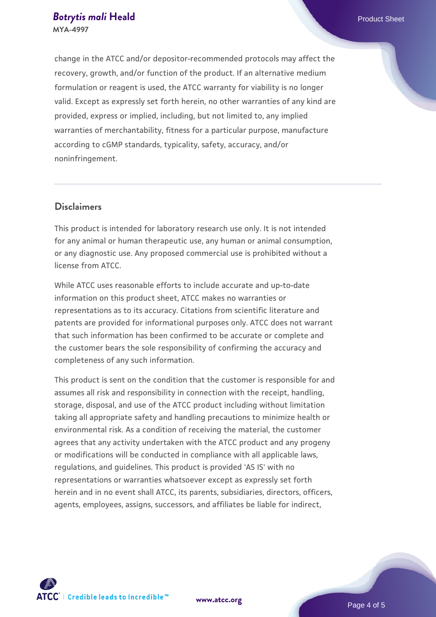change in the ATCC and/or depositor-recommended protocols may affect the recovery, growth, and/or function of the product. If an alternative medium formulation or reagent is used, the ATCC warranty for viability is no longer valid. Except as expressly set forth herein, no other warranties of any kind are provided, express or implied, including, but not limited to, any implied warranties of merchantability, fitness for a particular purpose, manufacture according to cGMP standards, typicality, safety, accuracy, and/or noninfringement.

### **Disclaimers**

This product is intended for laboratory research use only. It is not intended for any animal or human therapeutic use, any human or animal consumption, or any diagnostic use. Any proposed commercial use is prohibited without a license from ATCC.

While ATCC uses reasonable efforts to include accurate and up-to-date information on this product sheet, ATCC makes no warranties or representations as to its accuracy. Citations from scientific literature and patents are provided for informational purposes only. ATCC does not warrant that such information has been confirmed to be accurate or complete and the customer bears the sole responsibility of confirming the accuracy and completeness of any such information.

This product is sent on the condition that the customer is responsible for and assumes all risk and responsibility in connection with the receipt, handling, storage, disposal, and use of the ATCC product including without limitation taking all appropriate safety and handling precautions to minimize health or environmental risk. As a condition of receiving the material, the customer agrees that any activity undertaken with the ATCC product and any progeny or modifications will be conducted in compliance with all applicable laws, regulations, and guidelines. This product is provided 'AS IS' with no representations or warranties whatsoever except as expressly set forth herein and in no event shall ATCC, its parents, subsidiaries, directors, officers, agents, employees, assigns, successors, and affiliates be liable for indirect,



**[www.atcc.org](http://www.atcc.org)**

Page 4 of 5